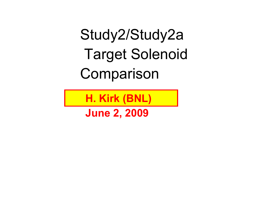Study2/Study2a Target Solenoid Comparison

**H. Kirk (BNL)**

**June 2, 2009**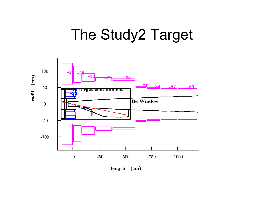## The Study2 Target



length (cm)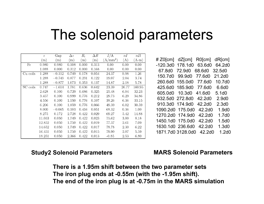## The solenoid parameters

|          | $\boldsymbol{z}$ | Gap      | $\Delta z$ | $\overline{R_i}$ | $\Delta R$ | I/A        | nI    | nIl     |
|----------|------------------|----------|------------|------------------|------------|------------|-------|---------|
|          | $\rm (m)$        | (m)      | (m)        | (m)              | (m)        | $(A/mm^2)$ | (A)   | $(A-m)$ |
| Fe       | 0.980            | 0.980    | 0.108      | 0.000            | 0.313      | 0.00       | 0.00  | 0.00    |
|          | 1.088            | 0.000    | 0.312      | 0.000            | 0.168      | 0.00       | 0.00  | 0.00    |
| Cu coils | 1.288            | $-0.112$ | 0.749      | 0.178            | 0.054      | 24.37      | 0.98  | 1.26    |
|          | 1.288            | $-0.749$ | 0.877      | 0.231            | 0.122      | 19.07      | 2.04  | 3.74    |
|          | 1.288            | $-0.877$ | 1.073      | 0.353            | 0.137      | 14.87      | 2.18  | 5.78    |
| SC coils | 0.747            | $-1.614$ | 1.781      | 0.636            | 0.642      | 23.39      | 26.77 | 160.95  |
|          | 2.628            | 0.100    | 0.729      | 0.686            | 0.325      | 25.48      | 6.04  | 32.23   |
|          | 3.457            | 0.100    | 0.999      | 0.776            | 0.212      | 29.73      | 6.29  | 34.86   |
|          | 4.556            | 0.100    | 1.550      | 0.776            | 0.107      | 38.26      | 6.36  | 33.15   |
|          | 6.206            | 0.100    | 1.859      | 0.776            | 0.066      | 49.39      | 6.02  | 30.59   |
|          | 8.000            | $-0.065$ | 0.103      | 0.416            | 0.051      | 68.32      | 0.36  | 1.00    |
|          | 8.275            | 0.172    | 2.728      | 0.422            | 0.029      | 69.27      | 5.42  | 14.88   |
|          | 11.053           | 0.050    | 1.749      | 0.422            | 0.023      | 75.62      | 3.00  | 8.18    |
|          | 12.852           | 0.050    | 1.750      | 0.422            | 0.019      | 77.37      | 2.61  | 7.09    |
|          | 14.652           | 0.050    | 1.749      | 0.422            | 0.017      | 78.78      | 2.30  | 6.22    |
|          | 16.451           | 0.050    | 1.750      | 0.422            | 0.015      | 79.90      | 2.07  | 5.59    |
|          | 18.251           | 0.050    | 2.366      | 0.422            | 0.013      | $-0.85$    | 2.53  | 6.80    |

# Z0[cm] dZ[cm] R0[cm] dR[cm] -120.3d0 178.1d0 63.6d0 64.2d067.8d0 72.9d0 68.6d0 32.5d0150.7d0 99.9d0 77.6d0 21.2d0260.6d0 155.0d0 77.6d0 10.7d0425.6d0 185.9d0 77.6d0 6.6d0605.0d0 10.3d0 41.6d0 5.1d0632.5d0 272.8d0 42.2d0 2.9d0910.3d0 174.9d0 42.2d0 2.3d01090.2d0 175.0d0 42.2d0 1.9d01270.2d0 174.9d0 42.2d0 1.7d01450.1d0 175.0d0 42.2d0 1.5d01630.1d0 236.6d0 42.2d0 1.3d01871.7d0 3128.0d0 42.2d0 1.2d0

#### **Study2 Solenoid Parameters MARS Solenoid Parameters**

**There is a 1.95m shift between the two parameter sets The iron plug ends at -0.55m (with the -1.95m shift). The end of the iron plug is at -0.75m in the MARS simulation**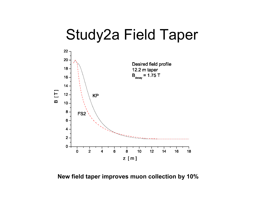# Study2a Field Taper



#### **New field taper improves muon collection by 10%**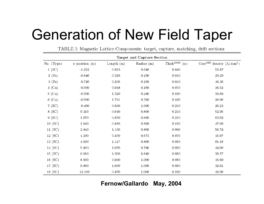# Generation of New Field Taper

TABLE I: Magnetic Lattice Components: target, capture, matching, drift sections

| Target and Capture Section |                     |              |              |                             |                            |  |
|----------------------------|---------------------|--------------|--------------|-----------------------------|----------------------------|--|
| No. (Type)                 | $z$ -position $(m)$ | Length $(m)$ | Radius $(m)$ | Thick <sup>ness</sup> $(m)$ | Current density $(A/mm^2)$ |  |
| 1(SC)                      | $-1.252$            | 0.683        | 0.640        | 0.640                       | 52.87                      |  |
| $2$ (Fe)                   | $-0.846$            | 0.326        | 0.430        | 0.010                       | 29.29                      |  |
| $3$ (Fe)                   | $-0.726$            | 0.206        | 0.150        | $0.010\,$                   | 46.36                      |  |
| $4$ (Cu)                   | $-0.500$            | 0.948        | 0.160        | 0.070                       | 16.52                      |  |
| 5(Gu)                      | $-0.500$            | 1.320        | 0.240        | 0.100                       | 19.69                      |  |
| $6$ (Cu)                   | $-0.500$            | 1.791        | 0.350        | 0.160                       | 20.96                      |  |
| 7(SC)                      | $-0.400$            | 0.690        | 1.000        | 0.210                       | 26.23                      |  |
| 8(SC)                      | 0.310               | 0.640        | 0.800        | 0.210                       | 52.95                      |  |
| 9(SC)                      | 1.070               | 0.850        | 0.800        | 0.210                       | 63.02                      |  |
| 10(SC)                     | 1.940               | 0.880        | 0.800        | 0.150                       | 47.09                      |  |
| 11(SC)                     | 2.840               | 1.160        | 0.800        | 0.090                       | 56.74                      |  |
| 12 (SC)                    | 4.100               | 0.470        | 0.673        | 0.070                       | 45.97                      |  |
| 13 (SC)                    | 4.590               | 1.127        | 0.800        | 0.050                       | 65.18                      |  |
| 14 (SC)                    | 5.803               | 1.070        | 0.740        | 0.050                       | 44.00                      |  |
| 15 (SC)                    | 6.910               | 1.360        | 0.849        | 0.050                       | 39.77                      |  |
| 16 (SC)                    | 8.500               | 0.990        | 1.000        | 0.050                       | 45.69                      |  |
| 17 (SC)                    | 9.800               | 1.900        | 1.000        | 0.050                       | 32.01                      |  |
| 18 (SC)                    | 12.180              | 0.470        | 1.000        | 0.100                       | 42.96                      |  |

### **Fernow/Gallardo May, 2004**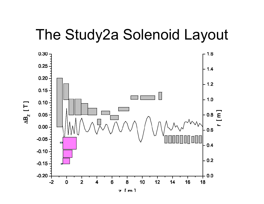### The Study2a Solenoid Layout